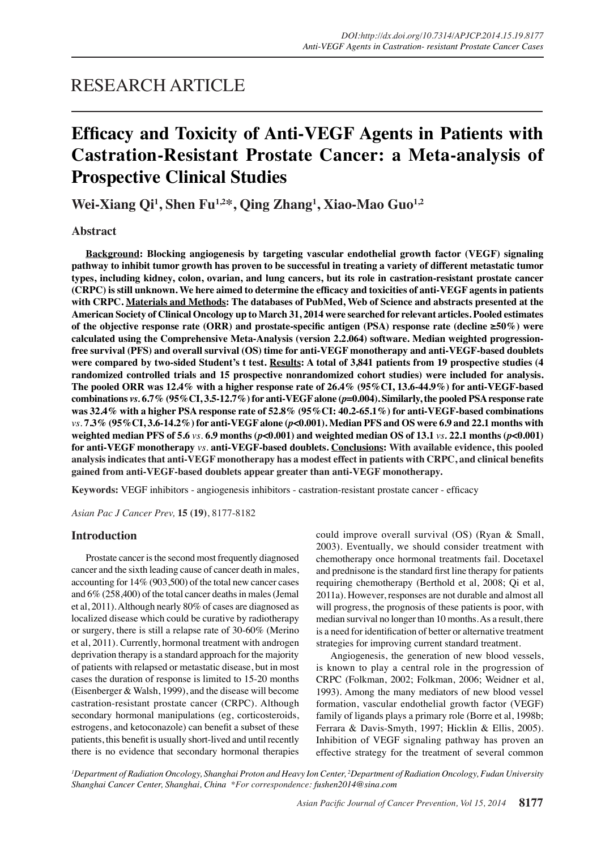## RESEARCH ARTICLE

# **Efficacy and Toxicity of Anti-VEGF Agents in Patients with Castration-Resistant Prostate Cancer: a Meta-analysis of Prospective Clinical Studies**

**Wei-Xiang Qi1 , Shen Fu1,2\*, Qing Zhang1 , Xiao-Mao Guo1,2**

## **Abstract**

**Background: Blocking angiogenesis by targeting vascular endothelial growth factor (VEGF) signaling pathway to inhibit tumor growth has proven to be successful in treating a variety of different metastatic tumor types, including kidney, colon, ovarian, and lung cancers, but its role in castration-resistant prostate cancer (CRPC) is still unknown. We here aimed to determine the efficacy and toxicities of anti-VEGF agents in patients with CRPC. Materials and Methods: The databases of PubMed, Web of Science and abstracts presented at the American Society of Clinical Oncology up to March 31, 2014 were searched for relevant articles. Pooled estimates of the objective response rate (ORR) and prostate-specific antigen (PSA) response rate (decline ≥50%) were calculated using the Comprehensive Meta-Analysis (version 2.2.064) software. Median weighted progressionfree survival (PFS) and overall survival (OS) time for anti-VEGF monotherapy and anti-VEGF-based doublets were compared by two-sided Student's t test. Results: A total of 3,841 patients from 19 prospective studies (4 randomized controlled trials and 15 prospective nonrandomized cohort studies) were included for analysis. The pooled ORR was 12.4% with a higher response rate of 26.4% (95%CI, 13.6-44.9%) for anti-VEGF-based combinations** *vs.* **6.7% (95%CI, 3.5-12.7%) for anti-VEGF alone (***p***=0.004). Similarly, the pooled PSA response rate was 32.4% with a higher PSA response rate of 52.8% (95%CI: 40.2-65.1%) for anti-VEGF-based combinations**  *vs.* **7.3% (95%CI, 3.6-14.2%) for anti-VEGF alone (***p***<0.001). Median PFS and OS were 6.9 and 22.1 months with weighted median PFS of 5.6** *vs.* **6.9 months (***p***<0.001) and weighted median OS of 13.1** *vs.* **22.1 months (***p***<0.001) for anti-VEGF monotherapy** *vs.* **anti-VEGF-based doublets. Conclusions: With available evidence, this pooled analysis indicates that anti-VEGF monotherapy has a modest effect in patients with CRPC, and clinical benefits gained from anti-VEGF-based doublets appear greater than anti-VEGF monotherapy.**

**Keywords:** VEGF inhibitors - angiogenesis inhibitors - castration-resistant prostate cancer - efficacy

*Asian Pac J Cancer Prev,* **15 (19)**, 8177-8182

## **Introduction**

Prostate cancer is the second most frequently diagnosed cancer and the sixth leading cause of cancer death in males, accounting for 14% (903,500) of the total new cancer cases and 6% (258,400) of the total cancer deaths in males (Jemal et al, 2011). Although nearly 80% of cases are diagnosed as localized disease which could be curative by radiotherapy or surgery, there is still a relapse rate of 30-60% (Merino et al, 2011). Currently, hormonal treatment with androgen deprivation therapy is a standard approach for the majority of patients with relapsed or metastatic disease, but in most cases the duration of response is limited to 15-20 months (Eisenberger & Walsh, 1999), and the disease will become castration-resistant prostate cancer (CRPC). Although secondary hormonal manipulations (eg, corticosteroids, estrogens, and ketoconazole) can benefit a subset of these patients, this benefit is usually short-lived and until recently there is no evidence that secondary hormonal therapies could improve overall survival (OS) (Ryan & Small, 2003). Eventually, we should consider treatment with chemotherapy once hormonal treatments fail. Docetaxel and prednisone is the standard first line therapy for patients requiring chemotherapy (Berthold et al, 2008; Qi et al, 2011a). However, responses are not durable and almost all will progress, the prognosis of these patients is poor, with median survival no longer than 10 months. As a result, there is a need for identification of better or alternative treatment strategies for improving current standard treatment.

Angiogenesis, the generation of new blood vessels, is known to play a central role in the progression of CRPC (Folkman, 2002; Folkman, 2006; Weidner et al, 1993). Among the many mediators of new blood vessel formation, vascular endothelial growth factor (VEGF) family of ligands plays a primary role (Borre et al, 1998b; Ferrara & Davis-Smyth, 1997; Hicklin & Ellis, 2005). Inhibition of VEGF signaling pathway has proven an effective strategy for the treatment of several common

*1 Department of Radiation Oncology, Shanghai Proton and Heavy Ion Center, 2 Department of Radiation Oncology, Fudan University Shanghai Cancer Center, Shanghai, China \*For correspondence: fushen2014@sina.com*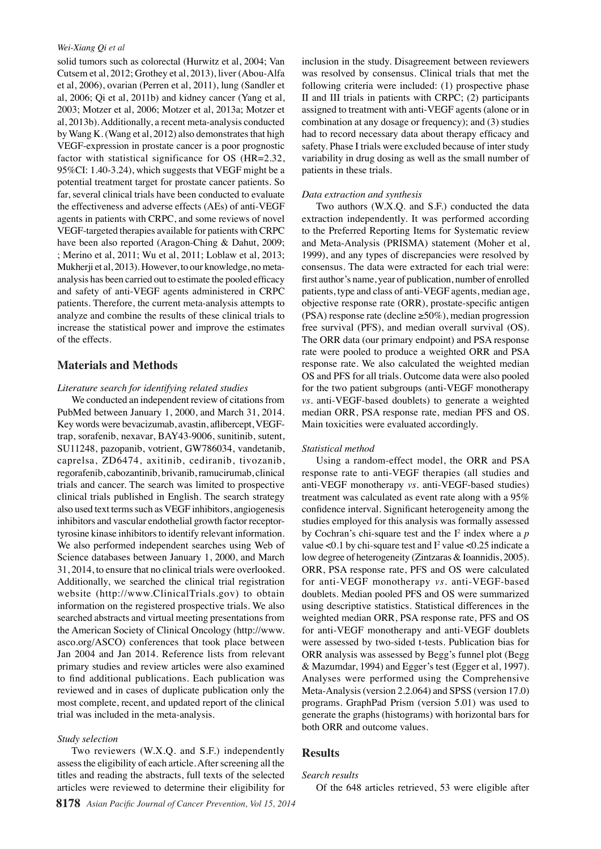#### *Wei-Xiang Qi et al*

solid tumors such as colorectal (Hurwitz et al, 2004; Van Cutsem et al, 2012; Grothey et al, 2013), liver (Abou-Alfa et al, 2006), ovarian (Perren et al, 2011), lung (Sandler et al, 2006; Qi et al, 2011b) and kidney cancer (Yang et al, 2003; Motzer et al, 2006; Motzer et al, 2013a; Motzer et al, 2013b). Additionally, a recent meta-analysis conducted by Wang K. (Wang et al, 2012) also demonstrates that high VEGF-expression in prostate cancer is a poor prognostic factor with statistical significance for OS (HR=2.32, 95%CI: 1.40-3.24), which suggests that VEGF might be a potential treatment target for prostate cancer patients. So far, several clinical trials have been conducted to evaluate the effectiveness and adverse effects (AEs) of anti-VEGF agents in patients with CRPC, and some reviews of novel VEGF-targeted therapies available for patients with CRPC have been also reported (Aragon-Ching & Dahut, 2009; ; Merino et al, 2011; Wu et al, 2011; Loblaw et al, 2013; Mukherji et al, 2013). However, to our knowledge, no metaanalysis has been carried out to estimate the pooled efficacy and safety of anti-VEGF agents administered in CRPC patients. Therefore, the current meta-analysis attempts to analyze and combine the results of these clinical trials to increase the statistical power and improve the estimates of the effects.

## **Materials and Methods**

## *Literature search for identifying related studies*

We conducted an independent review of citations from PubMed between January 1, 2000, and March 31, 2014. Key words were bevacizumab, avastin, aflibercept, VEGFtrap, sorafenib, nexavar, BAY43-9006, sunitinib, sutent, SU11248, pazopanib, votrient, GW786034, vandetanib, caprelsa, ZD6474, axitinib, cediranib, tivozanib, regorafenib, cabozantinib, brivanib, ramucirumab, clinical trials and cancer. The search was limited to prospective clinical trials published in English. The search strategy also used text terms such as VEGF inhibitors, angiogenesis inhibitors and vascular endothelial growth factor receptortyrosine kinase inhibitors to identify relevant information. We also performed independent searches using Web of Science databases between January 1, 2000, and March 31, 2014, to ensure that no clinical trials were overlooked. Additionally, we searched the clinical trial registration website (http://www.ClinicalTrials.gov) to obtain information on the registered prospective trials. We also searched abstracts and virtual meeting presentations from the American Society of Clinical Oncology (http://www. asco.org/ASCO) conferences that took place between Jan 2004 and Jan 2014. Reference lists from relevant primary studies and review articles were also examined to find additional publications. Each publication was reviewed and in cases of duplicate publication only the most complete, recent, and updated report of the clinical trial was included in the meta-analysis.

#### *Study selection*

Two reviewers (W.X.Q. and S.F.) independently assess the eligibility of each article. After screening all the titles and reading the abstracts, full texts of the selected articles were reviewed to determine their eligibility for inclusion in the study. Disagreement between reviewers was resolved by consensus. Clinical trials that met the following criteria were included: (1) prospective phase II and III trials in patients with CRPC; (2) participants assigned to treatment with anti-VEGF agents (alone or in combination at any dosage or frequency); and (3) studies had to record necessary data about therapy efficacy and safety. Phase I trials were excluded because of inter study variability in drug dosing as well as the small number of patients in these trials.

## *Data extraction and synthesis*

Two authors (W.X.Q. and S.F.) conducted the data extraction independently. It was performed according to the Preferred Reporting Items for Systematic review and Meta-Analysis (PRISMA) statement (Moher et al, 1999), and any types of discrepancies were resolved by consensus. The data were extracted for each trial were: first author's name, year of publication, number of enrolled patients, type and class of anti-VEGF agents, median age, objective response rate (ORR), prostate-specific antigen (PSA) response rate (decline ≥50%), median progression free survival (PFS), and median overall survival (OS). The ORR data (our primary endpoint) and PSA response rate were pooled to produce a weighted ORR and PSA response rate. We also calculated the weighted median OS and PFS for all trials. Outcome data were also pooled for the two patient subgroups (anti-VEGF monotherapy *vs.* anti-VEGF-based doublets) to generate a weighted median ORR, PSA response rate, median PFS and OS. Main toxicities were evaluated accordingly.

#### *Statistical method*

Using a random-effect model, the ORR and PSA response rate to anti-VEGF therapies (all studies and anti-VEGF monotherapy *vs.* anti-VEGF-based studies) treatment was calculated as event rate along with a 95% confidence interval. Significant heterogeneity among the studies employed for this analysis was formally assessed by Cochran's chi-square test and the  $I^2$  index where a  $p$ value < 0.1 by chi-square test and  $I^2$  value < 0.25 indicate a low degree of heterogeneity (Zintzaras & Ioannidis, 2005). ORR, PSA response rate, PFS and OS were calculated for anti-VEGF monotherapy *vs.* anti-VEGF-based doublets. Median pooled PFS and OS were summarized using descriptive statistics. Statistical differences in the weighted median ORR, PSA response rate, PFS and OS for anti-VEGF monotherapy and anti-VEGF doublets were assessed by two-sided t-tests. Publication bias for ORR analysis was assessed by Begg's funnel plot (Begg & Mazumdar, 1994) and Egger's test (Egger et al, 1997). Analyses were performed using the Comprehensive Meta-Analysis (version 2.2.064) and SPSS (version 17.0) programs. GraphPad Prism (version 5.01) was used to generate the graphs (histograms) with horizontal bars for both ORR and outcome values.

## **Results**

## *Search results*

Of the 648 articles retrieved, 53 were eligible after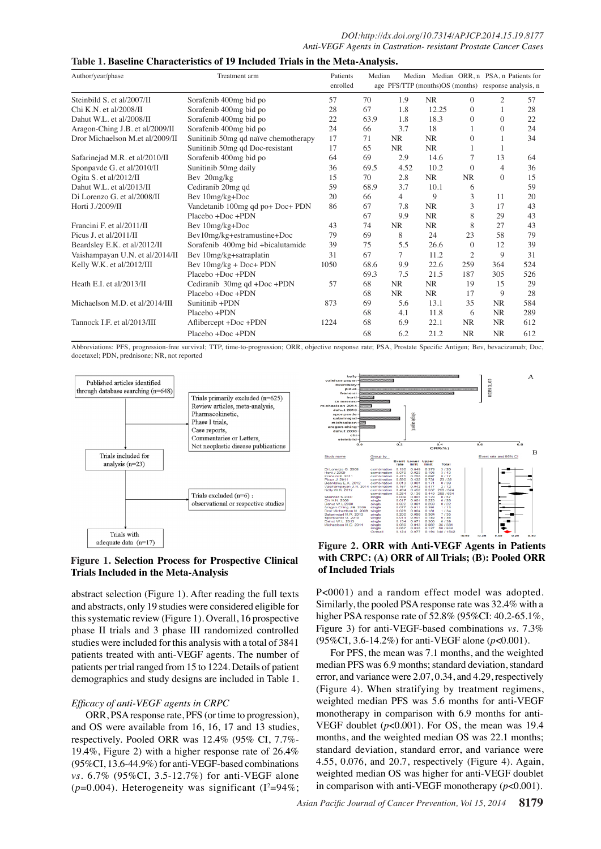| Table 1. Baseline Characteristics of 19 Included Trials in the Meta-Analysis. |  |  |  |
|-------------------------------------------------------------------------------|--|--|--|
|-------------------------------------------------------------------------------|--|--|--|

| Author/year/phase               | Treatment arm                        | Patients<br>enrolled | Median | Median    | age PFS/TTP (months) OS (months) response analysis, n |                | Median ORR, n PSA, n Patients for |     |
|---------------------------------|--------------------------------------|----------------------|--------|-----------|-------------------------------------------------------|----------------|-----------------------------------|-----|
| Steinbild S. et al/2007/II      | Sorafenib 400mg bid po               | 57                   | 70     | 1.9       | <b>NR</b>                                             | $\Omega$       | $\overline{c}$                    | 57  |
| Chi K.N. et al/2008/II          | Sorafenib 400mg bid po               | 28                   | 67     | 1.8       | 12.25                                                 | $\overline{0}$ | 1                                 | 28  |
| Dahut W.L. et al/2008/II        | Sorafenib 400mg bid po               | 22                   | 63.9   | 1.8       | 18.3                                                  | $\Omega$       | $\Omega$                          | 22  |
| Aragon-Ching J.B. et al/2009/II | Sorafenib 400mg bid po               | 24                   | 66     | 3.7       | 18                                                    |                | $\Omega$                          | 24  |
| Dror Michaelson M.et al/2009/II | Sunitinib 50mg qd naïve chemotherapy | 17                   | 71     | <b>NR</b> | <b>NR</b>                                             | $\mathbf{0}$   | 1                                 | 34  |
|                                 | Sunitinib 50mg qd Doc-resistant      | 17                   | 65     | <b>NR</b> | <b>NR</b>                                             |                |                                   |     |
| Safarinejad M.R. et al/2010/II  | Sorafenib 400mg bid po               | 64                   | 69     | 2.9       | 14.6                                                  |                | 13                                | 64  |
| Sponpavde G. et al/2010/II      | Sunitinib 50mg daily                 | 36                   | 69.5   | 4.52      | 10.2                                                  | $\Omega$       | $\overline{4}$                    | 36  |
| Ogita S. et al/2012/II          | Bev 20mg/kg                          | 15                   | 70     | 2.8       | <b>NR</b>                                             | <b>NR</b>      | $\theta$                          | 15  |
| Dahut W.L. et al/2013/II        | Cediranib 20mg qd                    | 59                   | 68.9   | 3.7       | 10.1                                                  | 6              |                                   | 59  |
| Di Lorenzo G. et al/2008/II     | Bev 10mg/kg+Doc                      | 20                   | 66     | 4         | 9                                                     | 3              | 11                                | 20  |
| Horti J./2009/II                | Vandetanib 100mg qd po+ Doc+ PDN     | 86                   | 67     | 7.8       | <b>NR</b>                                             | 3              | 17                                | 43  |
|                                 | Placebo +Doc +PDN                    |                      | 67     | 9.9       | <b>NR</b>                                             | 8              | 29                                | 43  |
| Francini F. et al/2011/II       | Bev 10mg/kg+Doc                      | 43                   | 74     | <b>NR</b> | <b>NR</b>                                             | 8              | 27                                | 43  |
| Picus J. et al/2011/II          | Bev10mg/kg+estramustine+Doc          | 79                   | 69     | 8         | 24                                                    | 23             | 58                                | 79  |
| Beardsley E.K. et al/2012/II    | Sorafenib 400mg bid + bicalutamide   | 39                   | 75     | 5.5       | 26.6                                                  | $\Omega$       | 12                                | 39  |
| Vaishampayan U.N. et al/2014/II | Bev 10mg/kg+satraplatin              | 31                   | 67     | $\tau$    | 11.2                                                  | 2              | 9                                 | 31  |
| Kelly W.K. et al/2012/III       | Bev $10mg/kg + Doc + PDN$            | 1050                 | 68.6   | 9.9       | 22.6                                                  | 259            | 364                               | 524 |
|                                 | Placebo +Doc +PDN                    |                      | 69.3   | 7.5       | 21.5                                                  | 187            | 305                               | 526 |
| Heath E.I. et al/2013/II        | Cediranib 30mg qd +Doc +PDN          | 57                   | 68     | <b>NR</b> | <b>NR</b>                                             | 19             | 15                                | 29  |
|                                 | Placebo +Doc +PDN                    |                      | 68     | <b>NR</b> | <b>NR</b>                                             | 17             | 9                                 | 28  |
| Michaelson M.D. et al/2014/III  | Sunitinib +PDN                       | 873                  | 69     | 5.6       | 13.1                                                  | 35             | <b>NR</b>                         | 584 |
|                                 | Placebo +PDN                         |                      | 68     | 4.1       | 11.8                                                  | 6              | <b>NR</b>                         | 289 |
| Tannock I.F. et al/2013/III     | Aflibercept +Doc +PDN                | 1224                 | 68     | 6.9       | 22.1                                                  | <b>NR</b>      | <b>NR</b>                         | 612 |
|                                 | Placebo +Doc +PDN                    |                      | 68     | 6.2       | 21.2                                                  | <b>NR</b>      | <b>NR</b>                         | 612 |

Abbreviations: PFS, progression-free survival; TTP, time-to-progression; ORR, objective response rate; PSA, Prostate Specific Antigen; Bev, bevacizumab; Doc, docetaxel; PDN, prednisone; NR, not reported





## **Figure 1. Selection Process for Prospective Clinical Trials Included in the Meta-Analysis**

abstract selection (Figure 1). After reading the full texts and abstracts, only 19 studies were considered eligible for this systematic review (Figure 1). Overall, 16 prospective phase II trials and 3 phase III randomized controlled studies were included for this analysis with a total of 3841 patients treated with anti-VEGF agents. The number of patients per trial ranged from 15 to 1224. Details of patient demographics and study designs are included in Table 1.

## *Efficacy of anti-VEGF agents in CRPC*

ORR, PSA response rate, PFS (or time to progression), and OS were available from 16, 16, 17 and 13 studies, respectively. Pooled ORR was 12.4% (95% CI, 7.7%- 19.4%, Figure 2) with a higher response rate of 26.4% (95%CI, 13.6-44.9%) for anti-VEGF-based combinations *vs.* 6.7% (95%CI, 3.5-12.7%) for anti-VEGF alone  $(p=0.004)$ . Heterogeneity was significant  $(I^2=94\%;$ 

**with CRPC: (A) ORR of All Trials; (B): Pooled ORR of Included Trials** P<0001) and a random effect model was adopted.

Similarly, the pooled PSA response rate was 32.4% with a higher PSA response rate of 52.8% (95%CI: 40.2-65.1%, Figure 3) for anti-VEGF-based combinations *vs.* 7.3% (95%CI, 3.6-14.2%) for anti-VEGF alone (*p*<0.001).

For PFS, the mean was 7.1 months, and the weighted median PFS was 6.9 months; standard deviation, standard error, and variance were 2.07, 0.34, and 4.29, respectively (Figure 4). When stratifying by treatment regimens, weighted median PFS was 5.6 months for anti-VEGF monotherapy in comparison with 6.9 months for anti-VEGF doublet  $(p<0.001)$ . For OS, the mean was 19.4 months, and the weighted median OS was 22.1 months; standard deviation, standard error, and variance were 4.55, 0.076, and 20.7, respectively (Figure 4). Again, weighted median OS was higher for anti-VEGF doublet in comparison with anti-VEGF monotherapy (*p*<0.001).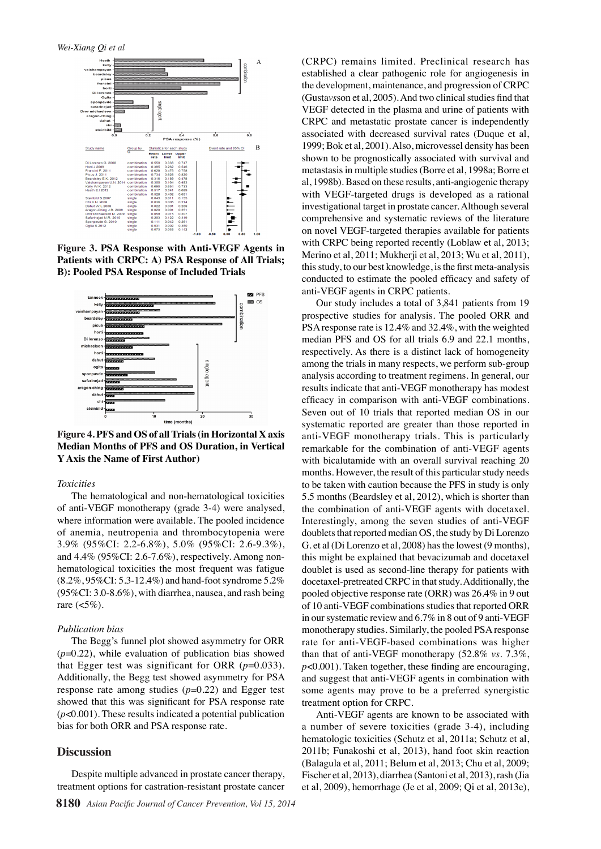

**Figure 3. PSA Response with Anti-VEGF Agents in Patients with CRPC: A) PSA Response of All Trials; B): Pooled PSA Response of Included Trials**



**Figure 4. PFS and OS of all Trials (in Horizontal X axis Median Months of PFS and OS Duration, in Vertical Y Axis the Name of First Author)**

#### *Toxicities*

The hematological and non-hematological toxicities of anti-VEGF monotherapy (grade 3-4) were analysed, where information were available. The pooled incidence of anemia, neutropenia and thrombocytopenia were 3.9% (95%CI: 2.2-6.8%), 5.0% (95%CI: 2.6-9.3%), and 4.4% (95%CI: 2.6-7.6%), respectively. Among nonhematological toxicities the most frequent was fatigue (8.2%, 95%CI: 5.3-12.4%) and hand-foot syndrome 5.2% (95%CI: 3.0-8.6%), with diarrhea, nausea, and rash being rare  $(<5\%)$ .

#### *Publication bias*

The Begg's funnel plot showed asymmetry for ORR (*p*=0.22), while evaluation of publication bias showed that Egger test was significant for ORR  $(p=0.033)$ . Additionally, the Begg test showed asymmetry for PSA response rate among studies  $(p=0.22)$  and Egger test showed that this was significant for PSA response rate (*p*<0.001). These results indicated a potential publication bias for both ORR and PSA response rate.

## **Discussion**

Despite multiple advanced in prostate cancer therapy, treatment options for castration-resistant prostate cancer (CRPC) remains limited. Preclinical research has established a clear pathogenic role for angiogenesis in the development, maintenance, and progression of CRPC (Gusta*vs*son et al, 2005). And two clinical studies find that VEGF detected in the plasma and urine of patients with CRPC and metastatic prostate cancer is independently associated with decreased survival rates (Duque et al, 1999; Bok et al, 2001). Also, microvessel density has been shown to be prognostically associated with survival and metastasis in multiple studies (Borre et al, 1998a; Borre et al, 1998b). Based on these results, anti-angiogenic therapy with VEGF-targeted drugs is developed as a rational investigational target in prostate cancer. Although several comprehensive and systematic reviews of the literature on novel VEGF-targeted therapies available for patients with CRPC being reported recently (Loblaw et al, 2013; Merino et al, 2011; Mukherji et al, 2013; Wu et al, 2011), this study, to our best knowledge, is the first meta-analysis conducted to estimate the pooled efficacy and safety of anti-VEGF agents in CRPC patients.

Our study includes a total of 3,841 patients from 19 prospective studies for analysis. The pooled ORR and PSA response rate is 12.4% and 32.4%, with the weighted median PFS and OS for all trials 6.9 and 22.1 months, respectively. As there is a distinct lack of homogeneity among the trials in many respects, we perform sub-group analysis according to treatment regimens. In general, our results indicate that anti-VEGF monotherapy has modest efficacy in comparison with anti-VEGF combinations. Seven out of 10 trials that reported median OS in our systematic reported are greater than those reported in anti-VEGF monotherapy trials. This is particularly remarkable for the combination of anti-VEGF agents with bicalutamide with an overall survival reaching 20 months. However, the result of this particular study needs to be taken with caution because the PFS in study is only 5.5 months (Beardsley et al, 2012), which is shorter than the combination of anti-VEGF agents with docetaxel. Interestingly, among the seven studies of anti-VEGF doublets that reported median OS, the study by Di Lorenzo G. et al (Di Lorenzo et al, 2008) has the lowest (9 months), this might be explained that bevacizumab and docetaxel doublet is used as second-line therapy for patients with docetaxel-pretreated CRPC in that study. Additionally, the pooled objective response rate (ORR) was 26.4% in 9 out of 10 anti-VEGF combinations studies that reported ORR in our systematic review and 6.7% in 8 out of 9 anti-VEGF monotherapy studies. Similarly, the pooled PSA response rate for anti-VEGF-based combinations was higher than that of anti-VEGF monotherapy (52.8% *vs.* 7.3%, *p*<0.001). Taken together, these finding are encouraging, and suggest that anti-VEGF agents in combination with some agents may prove to be a preferred synergistic treatment option for CRPC.

Anti-VEGF agents are known to be associated with a number of severe toxicities (grade 3-4), including hematologic toxicities (Schutz et al, 2011a; Schutz et al, 2011b; Funakoshi et al, 2013), hand foot skin reaction (Balagula et al, 2011; Belum et al, 2013; Chu et al, 2009; Fischer et al, 2013), diarrhea (Santoni et al, 2013), rash (Jia et al, 2009), hemorrhage (Je et al, 2009; Qi et al, 2013e),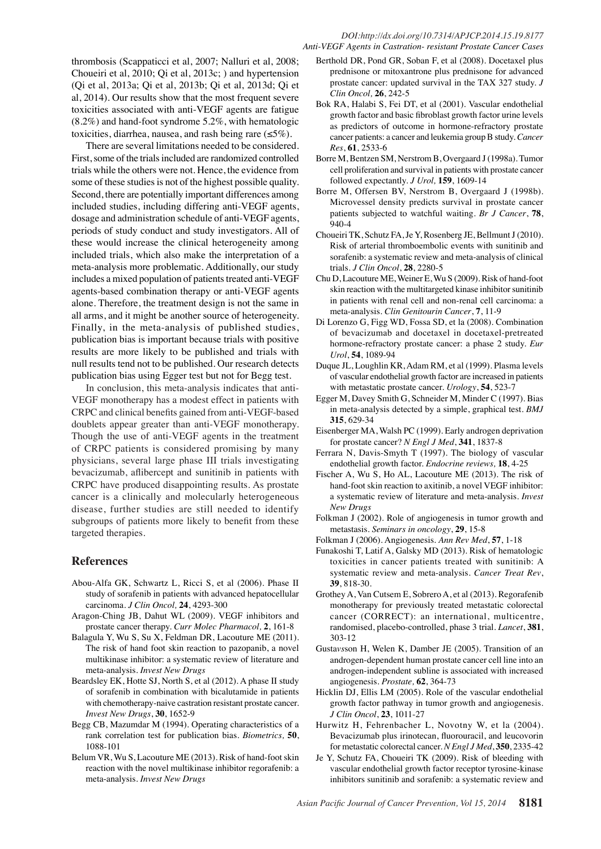## *DOI:http://dx.doi.org/10.7314/APJCP.2014.15.19.8177 Anti-VEGF Agents in Castration- resistant Prostate Cancer Cases*

thrombosis (Scappaticci et al, 2007; Nalluri et al, 2008; Choueiri et al, 2010; Qi et al, 2013c; ) and hypertension (Qi et al, 2013a; Qi et al, 2013b; Qi et al, 2013d; Qi et al, 2014). Our results show that the most frequent severe toxicities associated with anti-VEGF agents are fatigue (8.2%) and hand-foot syndrome 5.2%, with hematologic toxicities, diarrhea, nausea, and rash being rare  $(\leq 5\%)$ .

There are several limitations needed to be considered. First, some of the trials included are randomized controlled trials while the others were not. Hence, the evidence from some of these studies is not of the highest possible quality. Second, there are potentially important differences among included studies, including differing anti-VEGF agents, dosage and administration schedule of anti-VEGF agents, periods of study conduct and study investigators. All of these would increase the clinical heterogeneity among included trials, which also make the interpretation of a meta-analysis more problematic. Additionally, our study includes a mixed population of patients treated anti-VEGF agents-based combination therapy or anti-VEGF agents alone. Therefore, the treatment design is not the same in all arms, and it might be another source of heterogeneity. Finally, in the meta-analysis of published studies, publication bias is important because trials with positive results are more likely to be published and trials with null results tend not to be published. Our research detects publication bias using Egger test but not for Begg test.

In conclusion, this meta-analysis indicates that anti-VEGF monotherapy has a modest effect in patients with CRPC and clinical benefits gained from anti-VEGF-based doublets appear greater than anti-VEGF monotherapy. Though the use of anti-VEGF agents in the treatment of CRPC patients is considered promising by many physicians, several large phase III trials investigating bevacizumab, aflibercept and sunitinib in patients with CRPC have produced disappointing results. As prostate cancer is a clinically and molecularly heterogeneous disease, further studies are still needed to identify subgroups of patients more likely to benefit from these targeted therapies.

## **References**

- Abou-Alfa GK, Schwartz L, Ricci S, et al (2006). Phase II study of sorafenib in patients with advanced hepatocellular carcinoma. *J Clin Oncol,* **24**, 4293-300
- Aragon-Ching JB, Dahut WL (2009). VEGF inhibitors and prostate cancer therapy. *Curr Molec Pharmacol,* **2**, 161-8
- Balagula Y, Wu S, Su X, Feldman DR, Lacouture ME (2011). The risk of hand foot skin reaction to pazopanib, a novel multikinase inhibitor: a systematic review of literature and meta-analysis. *Invest New Drugs*
- Beardsley EK, Hotte SJ, North S, et al (2012). A phase II study of sorafenib in combination with bicalutamide in patients with chemotherapy-naive castration resistant prostate cancer. *Invest New Drugs*, **30**, 1652-9
- Begg CB, Mazumdar M (1994). Operating characteristics of a rank correlation test for publication bias. *Biometrics,* **50**, 1088-101
- Belum VR, Wu S, Lacouture ME (2013). Risk of hand-foot skin reaction with the novel multikinase inhibitor regorafenib: a meta-analysis. *Invest New Drugs*
- Berthold DR, Pond GR, Soban F, et al (2008). Docetaxel plus prednisone or mitoxantrone plus prednisone for advanced prostate cancer: updated survival in the TAX 327 study. *J Clin Oncol,* **26**, 242-5
- Bok RA, Halabi S, Fei DT, et al (2001). Vascular endothelial growth factor and basic fibroblast growth factor urine levels as predictors of outcome in hormone-refractory prostate cancer patients: a cancer and leukemia group B study. *Cancer Res*, **61**, 2533-6
- Borre M, Bentzen SM, Nerstrom B, Overgaard J (1998a). Tumor cell proliferation and survival in patients with prostate cancer followed expectantly. *J Urol,* **159**, 1609-14
- Borre M, Offersen BV, Nerstrom B, Overgaard J (1998b). Microvessel density predicts survival in prostate cancer patients subjected to watchful waiting. *Br J Cancer*, **78**, 940-4
- Choueiri TK, Schutz FA, Je Y, Rosenberg JE, Bellmunt J (2010). Risk of arterial thromboembolic events with sunitinib and sorafenib: a systematic review and meta-analysis of clinical trials. *J Clin Oncol*, **28**, 2280-5
- Chu D, Lacouture ME, Weiner E, Wu S (2009). Risk of hand-foot skin reaction with the multitargeted kinase inhibitor sunitinib in patients with renal cell and non-renal cell carcinoma: a meta-analysis. *Clin Genitourin Cancer*, **7**, 11-9
- Di Lorenzo G, Figg WD, Fossa SD, et la (2008). Combination of bevacizumab and docetaxel in docetaxel-pretreated hormone-refractory prostate cancer: a phase 2 study. *Eur Urol*, **54**, 1089-94
- Duque JL, Loughlin KR, Adam RM, et al (1999). Plasma levels of vascular endothelial growth factor are increased in patients with metastatic prostate cancer. *Urology*, **54**, 523-7
- Egger M, Davey Smith G, Schneider M, Minder C (1997). Bias in meta-analysis detected by a simple, graphical test. *BMJ* **315**, 629-34
- Eisenberger MA, Walsh PC (1999). Early androgen deprivation for prostate cancer? *N Engl J Med*, **341**, 1837-8
- Ferrara N, Davis-Smyth T (1997). The biology of vascular endothelial growth factor. *Endocrine reviews,* **18**, 4-25
- Fischer A, Wu S, Ho AL, Lacouture ME (2013). The risk of hand-foot skin reaction to axitinib, a novel VEGF inhibitor: a systematic review of literature and meta-analysis. *Invest New Drugs*
- Folkman J (2002). Role of angiogenesis in tumor growth and metastasis. *Seminars in oncology*, **29**, 15-8
- Folkman J (2006). Angiogenesis. *Ann Rev Med*, **57**, 1-18
- Funakoshi T, Latif A, Galsky MD (2013). Risk of hematologic toxicities in cancer patients treated with sunitinib: A systematic review and meta-analysis. *Cancer Treat Rev*, **39**, 818-30.
- Grothey A, Van Cutsem E, Sobrero A, et al (2013). Regorafenib monotherapy for previously treated metastatic colorectal cancer (CORRECT): an international, multicentre, randomised, placebo-controlled, phase 3 trial. *Lancet*, **381**, 303-12
- Gusta*vs*son H, Welen K, Damber JE (2005). Transition of an androgen-dependent human prostate cancer cell line into an androgen-independent subline is associated with increased angiogenesis. *Prostate,* **62**, 364-73
- Hicklin DJ, Ellis LM (2005). Role of the vascular endothelial growth factor pathway in tumor growth and angiogenesis. *J Clin Oncol*, **23**, 1011-27
- Hurwitz H, Fehrenbacher L, Novotny W, et la (2004). Bevacizumab plus irinotecan, fluorouracil, and leucovorin for metastatic colorectal cancer. *N Engl J Med*, **350**, 2335-42
- Je Y, Schutz FA, Choueiri TK (2009). Risk of bleeding with vascular endothelial growth factor receptor tyrosine-kinase inhibitors sunitinib and sorafenib: a systematic review and